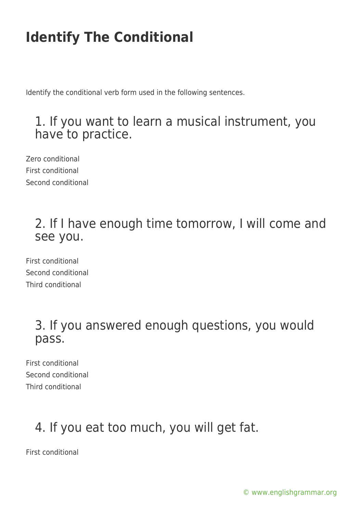Identify the conditional verb form used in the following sentences.

#### 1. If you want to learn a musical instrument, you have to practice.

Zero conditional First conditional Second conditional

#### 2. If I have enough time tomorrow, I will come and see you.

First conditional Second conditional Third conditional

#### 3. If you answered enough questions, you would pass.

First conditional Second conditional Third conditional

## 4. If you eat too much, you will get fat.

First conditional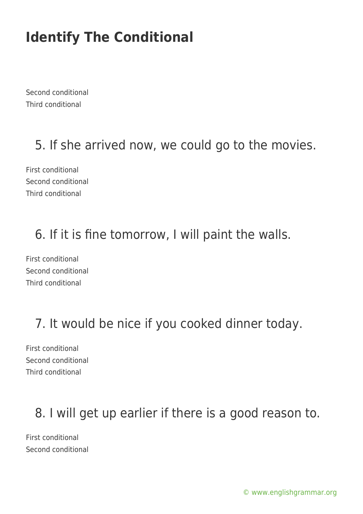Second conditional Third conditional

### 5. If she arrived now, we could go to the movies.

First conditional Second conditional Third conditional

### 6. If it is fine tomorrow, I will paint the walls.

First conditional Second conditional Third conditional

## 7. It would be nice if you cooked dinner today.

First conditional Second conditional Third conditional

### 8. I will get up earlier if there is a good reason to.

First conditional Second conditional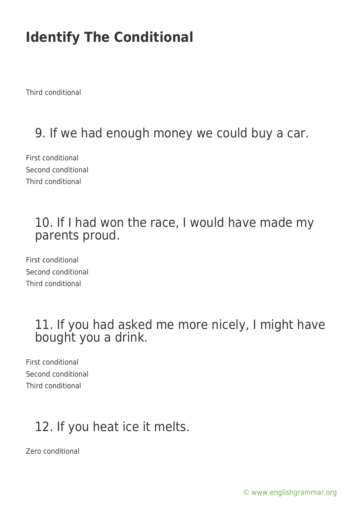Third conditional

## 9. If we had enough money we could buy a car.

First conditional Second conditional Third conditional

#### 10. If I had won the race, I would have made my parents proud.

First conditional Second conditional Third conditional

#### 11. If you had asked me more nicely, I might have bought you a drink.

First conditional Second conditional Third conditional

## 12. If you heat ice it melts.

Zero conditional